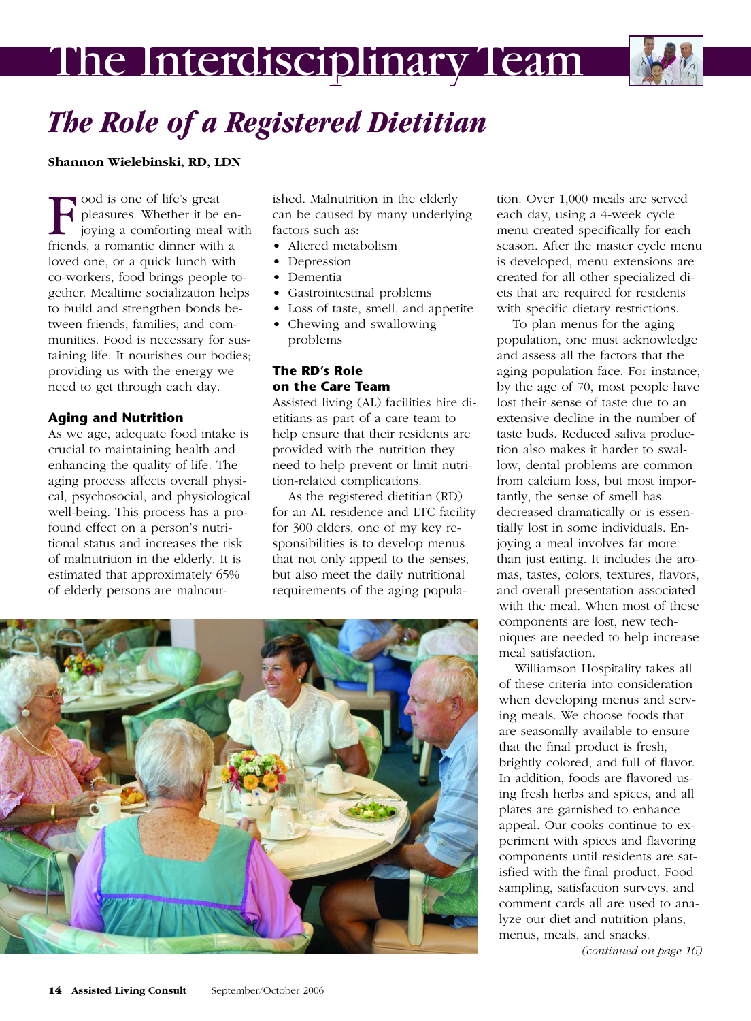# The Interdisciplinary Team



# *The Role of a Registered Dietitian*

**Shannon Wielebinski, RD, LDN**

 $\begin{array}{} \begin{array}{|l} \hline \text{ood is one of life's great} \\ \text{peasures. Whether it be} \\ \text{joying a comfortable mean} \\ \text{friends} & \text{a romantic dinner with} \end{array} \end{array}$ pleasures. Whether it be enjoying a comforting meal with friends, a romantic dinner with a loved one, or a quick lunch with co-workers, food brings people together. Mealtime socialization helps to build and strengthen bonds between friends, families, and communities. Food is necessary for sustaining life. It nourishes our bodies; providing us with the energy we need to get through each day.

# **Aging and Nutrition**

As we age, adequate food intake is crucial to maintaining health and enhancing the quality of life. The aging process affects overall physical, psychosocial, and physiological well-being. This process has a profound effect on a person's nutritional status and increases the risk of malnutrition in the elderly. It is estimated that approximately 65% of elderly persons are malnour-

ished. Malnutrition in the elderly can be caused by many underlying factors such as:

- Altered metabolism
- Depression
- Dementia
- Gastrointestinal problems
- Loss of taste, smell, and appetite • Chewing and swallowing
- problems

# **The RD's Role on the Care Team**

Assisted living (AL) facilities hire dietitians as part of a care team to help ensure that their residents are provided with the nutrition they need to help prevent or limit nutrition-related complications.

As the registered dietitian (RD) for an AL residence and LTC facility for 300 elders, one of my key responsibilities is to develop menus that not only appeal to the senses, but also meet the daily nutritional requirements of the aging popula-



tion. Over 1,000 meals are served each day, using a 4-week cycle menu created specifically for each season. After the master cycle menu is developed, menu extensions are created for all other specialized diets that are required for residents with specific dietary restrictions.

To plan menus for the aging population, one must acknowledge and assess all the factors that the aging population face. For instance, by the age of 70, most people have lost their sense of taste due to an extensive decline in the number of taste buds. Reduced saliva production also makes it harder to swallow, dental problems are common from calcium loss, but most importantly, the sense of smell has decreased dramatically or is essentially lost in some individuals. Enjoying a meal involves far more than just eating. It includes the aromas, tastes, colors, textures, flavors, and overall presentation associated with the meal. When most of these components are lost, new techniques are needed to help increase meal satisfaction.

Williamson Hospitality takes all of these criteria into consideration when developing menus and serving meals. We choose foods that are seasonally available to ensure that the final product is fresh, brightly colored, and full of flavor. In addition, foods are flavored using fresh herbs and spices, and all plates are garnished to enhance appeal. Our cooks continue to experiment with spices and flavoring components until residents are satisfied with the final product. Food sampling, satisfaction surveys, and comment cards all are used to analyze our diet and nutrition plans, menus, meals, and snacks.

*(continued on page 16)*